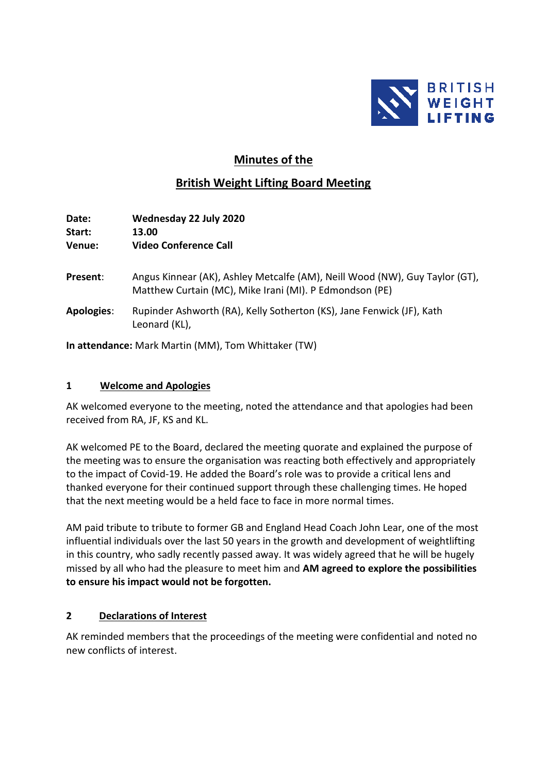

# **Minutes of the**

# **British Weight Lifting Board Meeting**

| <b>Date:</b><br>Start:<br><b>Venue:</b> | Wednesday 22 July 2020<br>13.00<br><b>Video Conference Call</b>                                                                        |
|-----------------------------------------|----------------------------------------------------------------------------------------------------------------------------------------|
| Present:                                | Angus Kinnear (AK), Ashley Metcalfe (AM), Neill Wood (NW), Guy Taylor (GT),<br>Matthew Curtain (MC), Mike Irani (MI). P Edmondson (PE) |
| <b>Apologies:</b>                       | Rupinder Ashworth (RA), Kelly Sotherton (KS), Jane Fenwick (JF), Kath<br>Leonard (KL),                                                 |

**In attendance:** Mark Martin (MM), Tom Whittaker (TW)

### **1 Welcome and Apologies**

AK welcomed everyone to the meeting, noted the attendance and that apologies had been received from RA, JF, KS and KL.

AK welcomed PE to the Board, declared the meeting quorate and explained the purpose of the meeting was to ensure the organisation was reacting both effectively and appropriately to the impact of Covid-19. He added the Board's role was to provide a critical lens and thanked everyone for their continued support through these challenging times. He hoped that the next meeting would be a held face to face in more normal times.

AM paid tribute to tribute to former GB and England Head Coach John Lear, one of the most influential individuals over the last 50 years in the growth and development of weightlifting in this country, who sadly recently passed away. It was widely agreed that he will be hugely missed by all who had the pleasure to meet him and **AM agreed to explore the possibilities to ensure his impact would not be forgotten.**

## **2 Declarations of Interest**

AK reminded members that the proceedings of the meeting were confidential and noted no new conflicts of interest.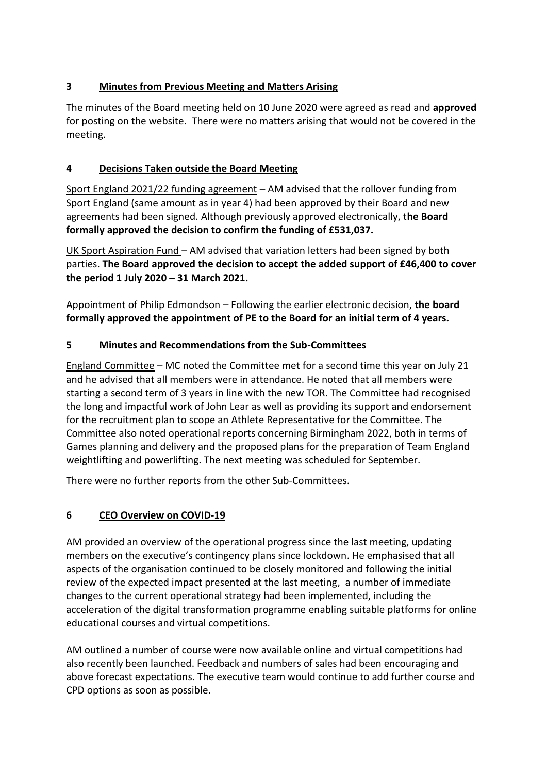# **3 Minutes from Previous Meeting and Matters Arising**

The minutes of the Board meeting held on 10 June 2020 were agreed as read and **approved** for posting on the website. There were no matters arising that would not be covered in the meeting.

# **4 Decisions Taken outside the Board Meeting**

Sport England 2021/22 funding agreement – AM advised that the rollover funding from Sport England (same amount as in year 4) had been approved by their Board and new agreements had been signed. Although previously approved electronically, t**he Board formally approved the decision to confirm the funding of £531,037.**

UK Sport Aspiration Fund – AM advised that variation letters had been signed by both parties. **The Board approved the decision to accept the added support of £46,400 to cover the period 1 July 2020 – 31 March 2021.**

Appointment of Philip Edmondson – Following the earlier electronic decision, **the board formally approved the appointment of PE to the Board for an initial term of 4 years.**

# **5 Minutes and Recommendations from the Sub-Committees**

England Committee – MC noted the Committee met for a second time this year on July 21 and he advised that all members were in attendance. He noted that all members were starting a second term of 3 years in line with the new TOR. The Committee had recognised the long and impactful work of John Lear as well as providing its support and endorsement for the recruitment plan to scope an Athlete Representative for the Committee. The Committee also noted operational reports concerning Birmingham 2022, both in terms of Games planning and delivery and the proposed plans for the preparation of Team England weightlifting and powerlifting. The next meeting was scheduled for September.

There were no further reports from the other Sub-Committees.

# **6 CEO Overview on COVID-19**

AM provided an overview of the operational progress since the last meeting, updating members on the executive's contingency plans since lockdown. He emphasised that all aspects of the organisation continued to be closely monitored and following the initial review of the expected impact presented at the last meeting, a number of immediate changes to the current operational strategy had been implemented, including the acceleration of the digital transformation programme enabling suitable platforms for online educational courses and virtual competitions.

AM outlined a number of course were now available online and virtual competitions had also recently been launched. Feedback and numbers of sales had been encouraging and above forecast expectations. The executive team would continue to add further course and CPD options as soon as possible.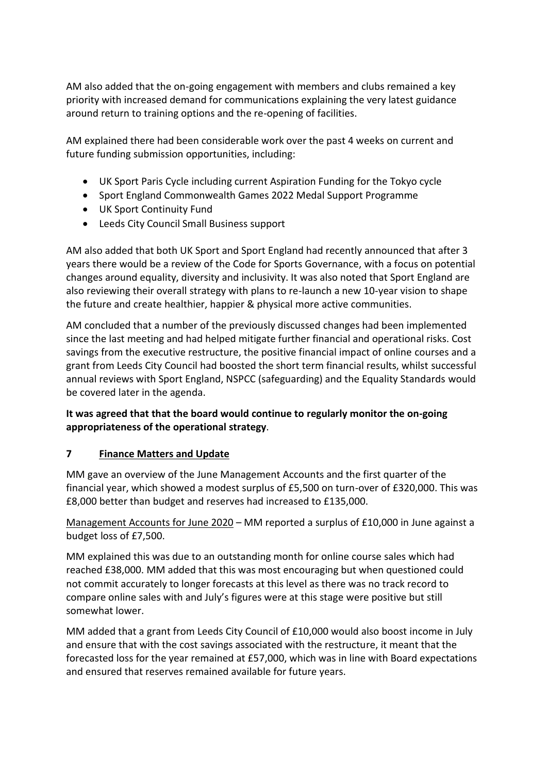AM also added that the on-going engagement with members and clubs remained a key priority with increased demand for communications explaining the very latest guidance around return to training options and the re-opening of facilities.

AM explained there had been considerable work over the past 4 weeks on current and future funding submission opportunities, including:

- UK Sport Paris Cycle including current Aspiration Funding for the Tokyo cycle
- Sport England Commonwealth Games 2022 Medal Support Programme
- UK Sport Continuity Fund
- Leeds City Council Small Business support

AM also added that both UK Sport and Sport England had recently announced that after 3 years there would be a review of the Code for Sports Governance, with a focus on potential changes around equality, diversity and inclusivity. It was also noted that Sport England are also reviewing their overall strategy with plans to re-launch a new 10-year vision to shape the future and create healthier, happier & physical more active communities.

AM concluded that a number of the previously discussed changes had been implemented since the last meeting and had helped mitigate further financial and operational risks. Cost savings from the executive restructure, the positive financial impact of online courses and a grant from Leeds City Council had boosted the short term financial results, whilst successful annual reviews with Sport England, NSPCC (safeguarding) and the Equality Standards would be covered later in the agenda.

## **It was agreed that that the board would continue to regularly monitor the on-going appropriateness of the operational strategy**.

## **7 Finance Matters and Update**

MM gave an overview of the June Management Accounts and the first quarter of the financial year, which showed a modest surplus of £5,500 on turn-over of £320,000. This was £8,000 better than budget and reserves had increased to £135,000.

Management Accounts for June 2020 – MM reported a surplus of £10,000 in June against a budget loss of £7,500.

MM explained this was due to an outstanding month for online course sales which had reached £38,000. MM added that this was most encouraging but when questioned could not commit accurately to longer forecasts at this level as there was no track record to compare online sales with and July's figures were at this stage were positive but still somewhat lower.

MM added that a grant from Leeds City Council of £10,000 would also boost income in July and ensure that with the cost savings associated with the restructure, it meant that the forecasted loss for the year remained at £57,000, which was in line with Board expectations and ensured that reserves remained available for future years.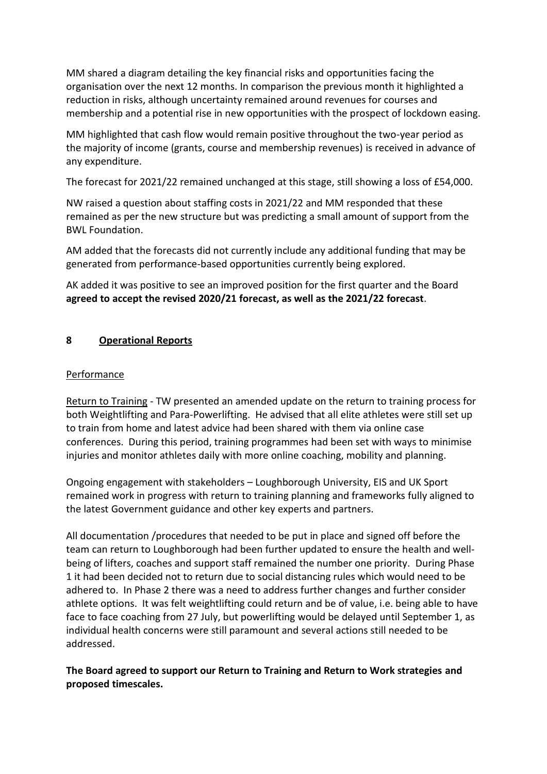MM shared a diagram detailing the key financial risks and opportunities facing the organisation over the next 12 months. In comparison the previous month it highlighted a reduction in risks, although uncertainty remained around revenues for courses and membership and a potential rise in new opportunities with the prospect of lockdown easing.

MM highlighted that cash flow would remain positive throughout the two-year period as the majority of income (grants, course and membership revenues) is received in advance of any expenditure.

The forecast for 2021/22 remained unchanged at this stage, still showing a loss of £54,000.

NW raised a question about staffing costs in 2021/22 and MM responded that these remained as per the new structure but was predicting a small amount of support from the BWL Foundation.

AM added that the forecasts did not currently include any additional funding that may be generated from performance-based opportunities currently being explored.

AK added it was positive to see an improved position for the first quarter and the Board **agreed to accept the revised 2020/21 forecast, as well as the 2021/22 forecast**.

## **8 Operational Reports**

#### Performance

Return to Training - TW presented an amended update on the return to training process for both Weightlifting and Para-Powerlifting. He advised that all elite athletes were still set up to train from home and latest advice had been shared with them via online case conferences. During this period, training programmes had been set with ways to minimise injuries and monitor athletes daily with more online coaching, mobility and planning.

Ongoing engagement with stakeholders – Loughborough University, EIS and UK Sport remained work in progress with return to training planning and frameworks fully aligned to the latest Government guidance and other key experts and partners.

All documentation /procedures that needed to be put in place and signed off before the team can return to Loughborough had been further updated to ensure the health and wellbeing of lifters, coaches and support staff remained the number one priority. During Phase 1 it had been decided not to return due to social distancing rules which would need to be adhered to. In Phase 2 there was a need to address further changes and further consider athlete options. It was felt weightlifting could return and be of value, i.e. being able to have face to face coaching from 27 July, but powerlifting would be delayed until September 1, as individual health concerns were still paramount and several actions still needed to be addressed.

**The Board agreed to support our Return to Training and Return to Work strategies and proposed timescales.**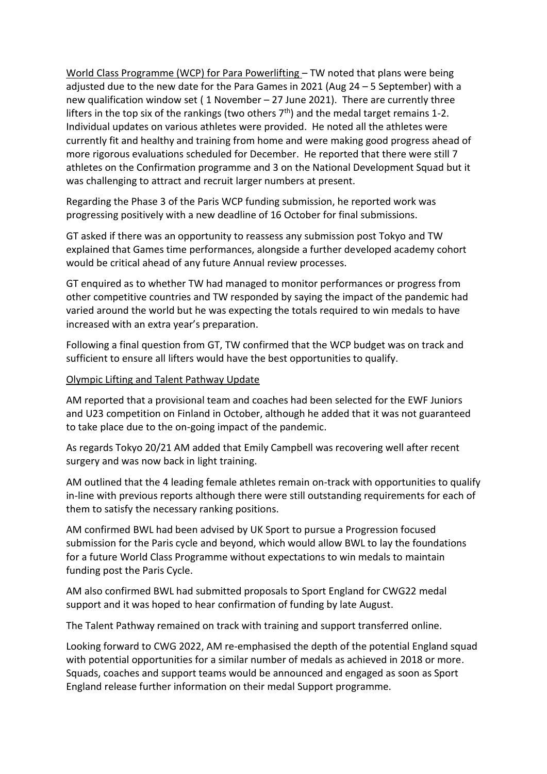World Class Programme (WCP) for Para Powerlifting – TW noted that plans were being adjusted due to the new date for the Para Games in 2021 (Aug 24 – 5 September) with a new qualification window set ( 1 November – 27 June 2021). There are currently three lifters in the top six of the rankings (two others  $7<sup>th</sup>$ ) and the medal target remains 1-2. Individual updates on various athletes were provided. He noted all the athletes were currently fit and healthy and training from home and were making good progress ahead of more rigorous evaluations scheduled for December. He reported that there were still 7 athletes on the Confirmation programme and 3 on the National Development Squad but it was challenging to attract and recruit larger numbers at present.

Regarding the Phase 3 of the Paris WCP funding submission, he reported work was progressing positively with a new deadline of 16 October for final submissions.

GT asked if there was an opportunity to reassess any submission post Tokyo and TW explained that Games time performances, alongside a further developed academy cohort would be critical ahead of any future Annual review processes.

GT enquired as to whether TW had managed to monitor performances or progress from other competitive countries and TW responded by saying the impact of the pandemic had varied around the world but he was expecting the totals required to win medals to have increased with an extra year's preparation.

Following a final question from GT, TW confirmed that the WCP budget was on track and sufficient to ensure all lifters would have the best opportunities to qualify.

### Olympic Lifting and Talent Pathway Update

AM reported that a provisional team and coaches had been selected for the EWF Juniors and U23 competition on Finland in October, although he added that it was not guaranteed to take place due to the on-going impact of the pandemic.

As regards Tokyo 20/21 AM added that Emily Campbell was recovering well after recent surgery and was now back in light training.

AM outlined that the 4 leading female athletes remain on-track with opportunities to qualify in-line with previous reports although there were still outstanding requirements for each of them to satisfy the necessary ranking positions.

AM confirmed BWL had been advised by UK Sport to pursue a Progression focused submission for the Paris cycle and beyond, which would allow BWL to lay the foundations for a future World Class Programme without expectations to win medals to maintain funding post the Paris Cycle.

AM also confirmed BWL had submitted proposals to Sport England for CWG22 medal support and it was hoped to hear confirmation of funding by late August.

The Talent Pathway remained on track with training and support transferred online.

Looking forward to CWG 2022, AM re-emphasised the depth of the potential England squad with potential opportunities for a similar number of medals as achieved in 2018 or more. Squads, coaches and support teams would be announced and engaged as soon as Sport England release further information on their medal Support programme.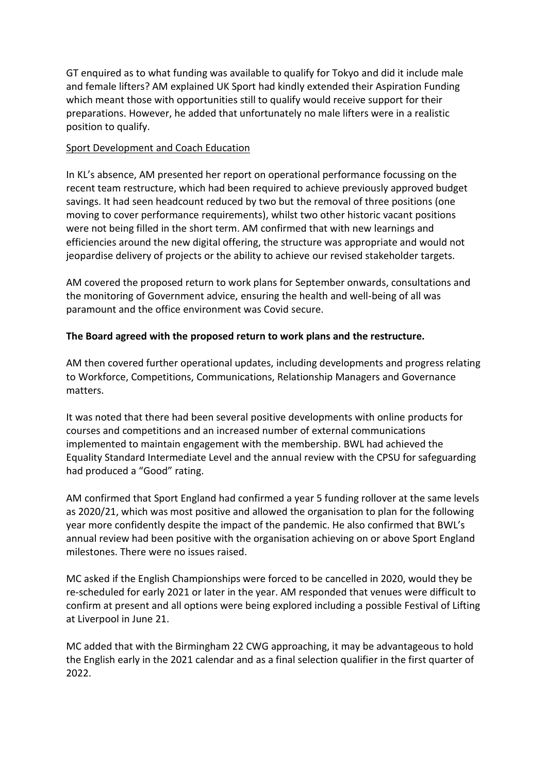GT enquired as to what funding was available to qualify for Tokyo and did it include male and female lifters? AM explained UK Sport had kindly extended their Aspiration Funding which meant those with opportunities still to qualify would receive support for their preparations. However, he added that unfortunately no male lifters were in a realistic position to qualify.

### Sport Development and Coach Education

In KL's absence, AM presented her report on operational performance focussing on the recent team restructure, which had been required to achieve previously approved budget savings. It had seen headcount reduced by two but the removal of three positions (one moving to cover performance requirements), whilst two other historic vacant positions were not being filled in the short term. AM confirmed that with new learnings and efficiencies around the new digital offering, the structure was appropriate and would not jeopardise delivery of projects or the ability to achieve our revised stakeholder targets.

AM covered the proposed return to work plans for September onwards, consultations and the monitoring of Government advice, ensuring the health and well-being of all was paramount and the office environment was Covid secure.

## **The Board agreed with the proposed return to work plans and the restructure.**

AM then covered further operational updates, including developments and progress relating to Workforce, Competitions, Communications, Relationship Managers and Governance matters.

It was noted that there had been several positive developments with online products for courses and competitions and an increased number of external communications implemented to maintain engagement with the membership. BWL had achieved the Equality Standard Intermediate Level and the annual review with the CPSU for safeguarding had produced a "Good" rating.

AM confirmed that Sport England had confirmed a year 5 funding rollover at the same levels as 2020/21, which was most positive and allowed the organisation to plan for the following year more confidently despite the impact of the pandemic. He also confirmed that BWL's annual review had been positive with the organisation achieving on or above Sport England milestones. There were no issues raised.

MC asked if the English Championships were forced to be cancelled in 2020, would they be re-scheduled for early 2021 or later in the year. AM responded that venues were difficult to confirm at present and all options were being explored including a possible Festival of Lifting at Liverpool in June 21.

MC added that with the Birmingham 22 CWG approaching, it may be advantageous to hold the English early in the 2021 calendar and as a final selection qualifier in the first quarter of 2022.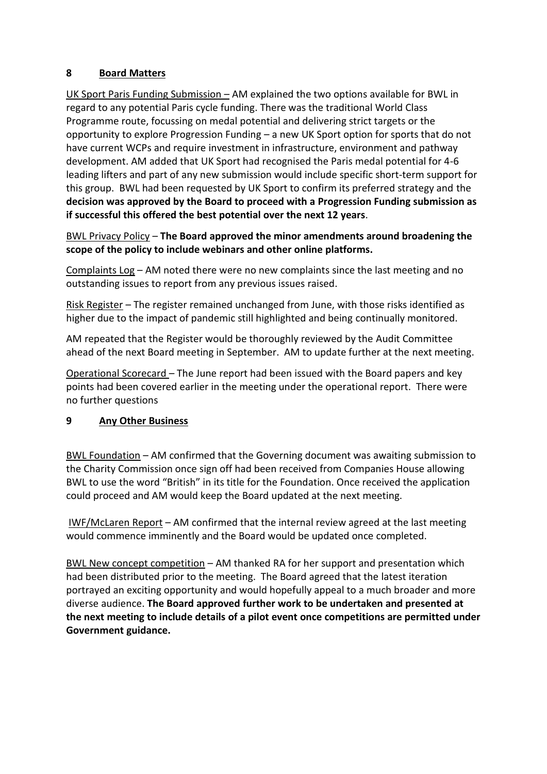## **8 Board Matters**

UK Sport Paris Funding Submission – AM explained the two options available for BWL in regard to any potential Paris cycle funding. There was the traditional World Class Programme route, focussing on medal potential and delivering strict targets or the opportunity to explore Progression Funding – a new UK Sport option for sports that do not have current WCPs and require investment in infrastructure, environment and pathway development. AM added that UK Sport had recognised the Paris medal potential for 4-6 leading lifters and part of any new submission would include specific short-term support for this group. BWL had been requested by UK Sport to confirm its preferred strategy and the **decision was approved by the Board to proceed with a Progression Funding submission as if successful this offered the best potential over the next 12 years**.

BWL Privacy Policy – **The Board approved the minor amendments around broadening the scope of the policy to include webinars and other online platforms.**

Complaints Log – AM noted there were no new complaints since the last meeting and no outstanding issues to report from any previous issues raised.

Risk Register – The register remained unchanged from June, with those risks identified as higher due to the impact of pandemic still highlighted and being continually monitored.

AM repeated that the Register would be thoroughly reviewed by the Audit Committee ahead of the next Board meeting in September. AM to update further at the next meeting.

Operational Scorecard – The June report had been issued with the Board papers and key points had been covered earlier in the meeting under the operational report. There were no further questions

## **9 Any Other Business**

BWL Foundation – AM confirmed that the Governing document was awaiting submission to the Charity Commission once sign off had been received from Companies House allowing BWL to use the word "British" in its title for the Foundation. Once received the application could proceed and AM would keep the Board updated at the next meeting.

IWF/McLaren Report – AM confirmed that the internal review agreed at the last meeting would commence imminently and the Board would be updated once completed.

BWL New concept competition – AM thanked RA for her support and presentation which had been distributed prior to the meeting. The Board agreed that the latest iteration portrayed an exciting opportunity and would hopefully appeal to a much broader and more diverse audience. **The Board approved further work to be undertaken and presented at the next meeting to include details of a pilot event once competitions are permitted under Government guidance.**